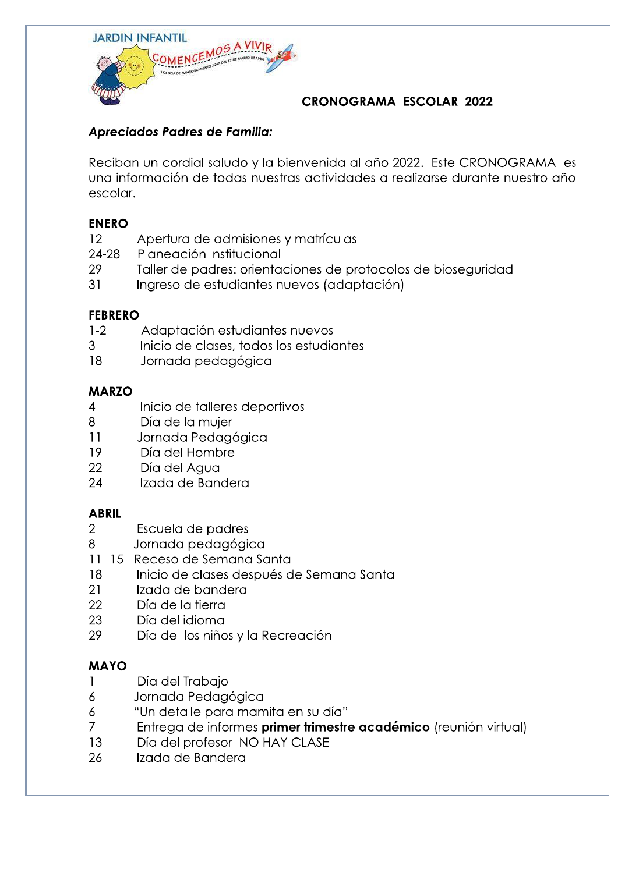

# **CRONOGRAMA ESCOLAR 2022**

# Apreciados Padres de Familia:

Reciban un cordial saludo y la bienvenida al año 2022. Este CRONOGRAMA es una información de todas nuestras actividades a realizarse durante nuestro año escolar.

#### **ENERO**

- Apertura de admisiones y matrículas  $12$
- Planeación Institucional 24-28
- 29 Taller de padres: orientaciones de protocolos de bioseguridad
- $31$ Ingreso de estudiantes nuevos (adaptación)

#### **FEBRERO**

- Adaptación estudiantes nuevos  $1-2$
- 3 Inicio de clases, todos los estudiantes
- 18 Jornada pedagógica

#### **MARZO**

- $\overline{4}$ Inicio de talleres deportivos
- 8 Día de la mujer
- $11$ Jornada Pedagógica
- 19 Día del Hombre
- 22 Día del Agua
- Izada de Bandera 24

#### **ABRIL**

- $\overline{2}$ Escuela de padres
- Jornada pedagógica 8
- 11-15 Receso de Semana Santa
- 18 Inicio de clases después de Semana Santa
- 21 Izada de bandera
- 22 Día de la tierra
- 23 Día del idioma
- 29 Día de los niños y la Recreación

## **MAYO**

- Día del Trabajo  $\mathbf{1}$
- 6 Jornada Pedagógica
- "Un detalle para mamita en su día"  $\delta$
- $\overline{7}$ Entrega de informes primer trimestre académico (reunión virtual)
- 13 Día del profesor NO HAY CLASE
- 26 Izada de Bandera